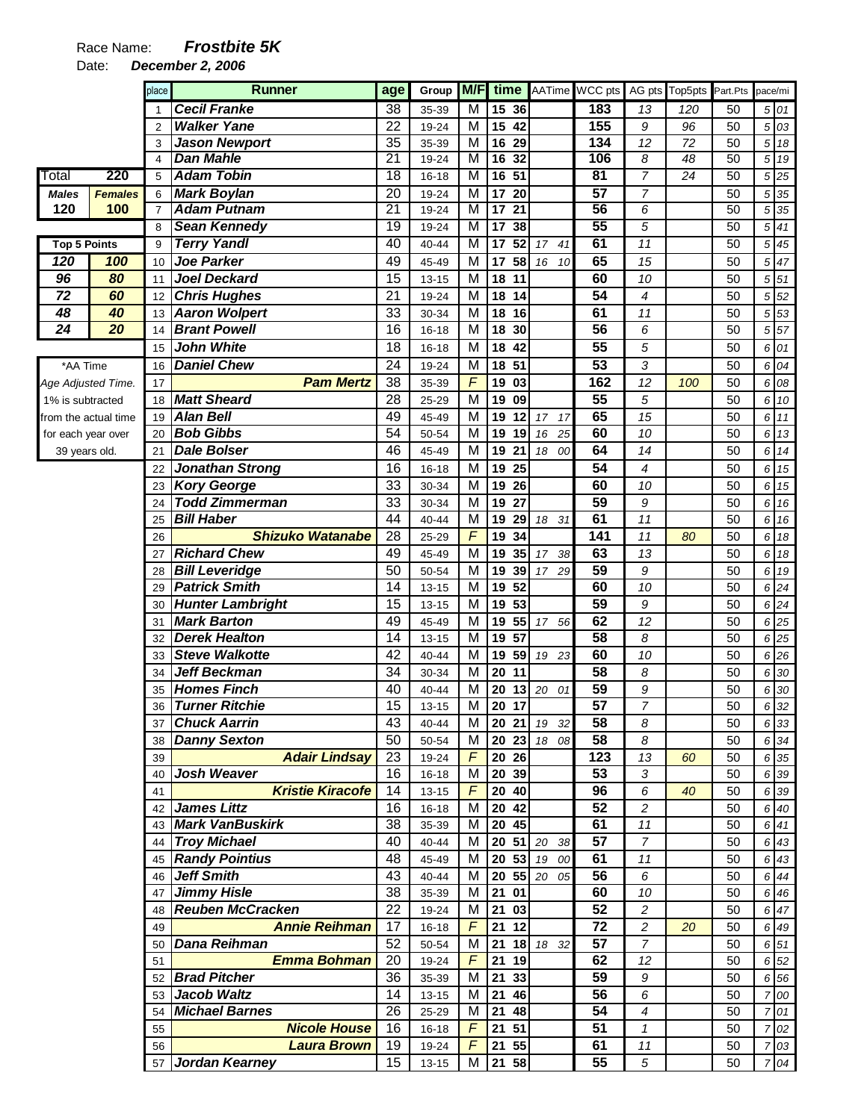Date: **December 2, 2006** 

|                      |                | place          | <b>Runner</b>                                 | age                   | Group              | M/F                 | time                                                        |             | AATime WCC pts  |                      | AG pts Top5pts Part.Pts |          | pace/mi        |              |
|----------------------|----------------|----------------|-----------------------------------------------|-----------------------|--------------------|---------------------|-------------------------------------------------------------|-------------|-----------------|----------------------|-------------------------|----------|----------------|--------------|
|                      |                | 1              | <b>Cecil Franke</b>                           | 38                    | 35-39              | $\overline{M}$      | 15<br>36                                                    |             | 183             | 13                   | 120                     | 50       |                | 5 01         |
|                      |                | $\overline{2}$ | <b>Walker Yane</b>                            | $\overline{22}$       | 19-24              | M                   | $\overline{15}$<br>42                                       |             | 155             | 9                    | 96                      | 50       | 5              | 03           |
|                      |                | 3              | <b>Jason Newport</b>                          | 35                    | 35-39              | M                   | 16<br>29                                                    |             | 134             | 12                   | 72                      | 50       | 5              | 18           |
|                      |                | $\overline{4}$ | Dan Mahle                                     | $\overline{21}$       | 19-24              | M                   | 16<br>32                                                    |             | 106             | 8                    | 48                      | 50       | 5              | 19           |
| Total                | 220            | 5              | <b>Adam Tobin</b>                             | 18                    | $16 - 18$          | M                   | $\overline{51}$<br>16                                       |             | $\overline{81}$ | $\overline{7}$       | $\overline{24}$         | 50       | 5              | 25           |
| <b>Males</b>         | <b>Females</b> | 6              | <b>Mark Boylan</b>                            | 20                    | 19-24              | M                   | 17<br>20                                                    |             | $\overline{57}$ | 7                    |                         | 50       | 5              | 35           |
| 120                  | 100            | $\overline{7}$ | <b>Adam Putnam</b>                            | $\overline{21}$<br>19 | 19-24              | $\overline{M}$<br>M | $\overline{17}$<br>$\overline{21}$<br>$\overline{17}$<br>38 |             | 56<br>55        | 6                    |                         | 50<br>50 | 5              | 35           |
| <b>Top 5 Points</b>  |                | 8<br>9         | <b>Sean Kennedy</b><br><b>Terry Yandl</b>     | 40                    | 19-24<br>40-44     | M                   | 52<br>17                                                    | 17<br>41    | 61              | 5<br>$\overline{11}$ |                         | 50       | 5<br>5         | 41<br>45     |
| 120                  | 100            | 10             | <b>Joe Parker</b>                             | 49                    | 45-49              | M                   | 17<br>58                                                    | 16<br>10    | 65              | 15                   |                         | 50       | 5              | 47           |
| 96                   | 80             | 11             | <b>Joel Deckard</b>                           | $\overline{15}$       | $13 - 15$          | M                   | 18<br>11                                                    |             | 60              | 10                   |                         | 50       | 5              | 51           |
| $\overline{72}$      | 60             | 12             | <b>Chris Hughes</b>                           | 21                    | 19-24              | M                   | 18<br>14                                                    |             | 54              | $\overline{4}$       |                         | 50       | 5              | 52           |
| 48                   | 40             | 13             | <b>Aaron Wolpert</b>                          | $\overline{33}$       | 30-34              | M                   | 18<br>16                                                    |             | 61              | 11                   |                         | 50       | 5              | 53           |
| $\overline{24}$      | 20             | 14             | <b>Brant Powell</b>                           | 16                    | $16 - 18$          | M                   | 18<br>30                                                    |             | $\overline{56}$ | 6                    |                         | 50       | 5              | 57           |
|                      |                | 15             | <b>John White</b>                             | 18                    | $16 - 18$          | M                   | 42<br>18                                                    |             | 55              | 5                    |                         | 50       | 6              | 01           |
| *AA Time             |                | 16             | <b>Daniel Chew</b>                            | 24                    | 19-24              | M                   | 51<br>18                                                    |             | $\overline{53}$ | 3                    |                         | 50       | 6              | 04           |
| Age Adjusted Time.   |                | 17             | <b>Pam Mertz</b>                              | 38                    | 35-39              | $\overline{F}$      | 19<br>03                                                    |             | 162             | 12                   | 100                     | 50       |                | 6 08         |
| 1% is subtracted     |                | 18             | <b>Matt Sheard</b>                            | 28                    | 25-29              | M                   | 19<br>09                                                    |             | $\overline{55}$ | 5                    |                         | 50       |                | 6 10         |
| from the actual time |                | 19             | <b>Alan Bell</b>                              | 49                    | 45-49              | M                   | 19<br>12                                                    | 17<br>17    | 65              | 15                   |                         | 50       |                | 6 11         |
| for each year over   |                | 20             | <b>Bob Gibbs</b>                              | 54                    | 50-54              | M                   | 19<br>19                                                    | 16<br>25    | 60              | 10                   |                         | 50       |                | 6 13         |
| 39 years old.        |                | 21             | <b>Dale Bolser</b>                            | 46                    | 45-49              | M                   | 19<br>21                                                    | 18 00       | 64              | 14                   |                         | 50       | 6              | 14           |
|                      |                | 22             | <b>Jonathan Strong</b>                        | 16                    | 16-18              | M                   | 25<br>19                                                    |             | 54              | 4                    |                         | 50       | 6              | 15           |
|                      |                | 23             | <b>Kory George</b>                            | 33                    | 30-34              | M                   | 26<br>19                                                    |             | 60              | 10                   |                         | 50       | 6              | 15           |
|                      |                | 24             | <b>Todd Zimmerman</b>                         | 33                    | 30-34              | M                   | 27<br>19                                                    |             | 59              | 9                    |                         | 50       | 6              | 16           |
|                      |                | 25             | <b>Bill Haber</b>                             | 44                    | 40-44              | M                   | 19<br>29                                                    | 18 31       | 61              | 11                   |                         | 50       | 6              | 16           |
|                      |                | 26             | <b>Shizuko Watanabe</b>                       | 28                    | 25-29              | $\overline{F}$      | 19<br>34                                                    |             | 141             | 11                   | 80                      | 50       | 6              | 18           |
|                      |                | 27             | <b>Richard Chew</b>                           | 49                    | 45-49              | M                   | 19<br>35                                                    | $17$<br>38  | 63              | 13                   |                         | 50       | 6              | 18           |
|                      |                | 28             | <b>Bill Leveridge</b>                         | 50                    | 50-54              | M                   | 19<br>39                                                    | 17 29       | 59              | 9                    |                         | 50       | 6              | 19           |
|                      |                | 29             | <b>Patrick Smith</b>                          | 14                    | $13 - 15$          | M                   | 52<br>19                                                    |             | 60              | 10                   |                         | 50       | 6              | 24           |
|                      |                | 30             | <b>Hunter Lambright</b>                       | 15                    | $13 - 15$          | M                   | 53<br>19                                                    |             | 59              | 9                    |                         | 50       | 6              | 24           |
|                      |                | 31             | <b>Mark Barton</b>                            | 49                    | 45-49              | M                   | 19<br>55                                                    | 17 56       | 62              | 12                   |                         | 50       | 6              | 25           |
|                      |                | 32             | <b>Derek Healton</b><br><b>Steve Walkotte</b> | 14<br>42              | $13 - 15$          | M<br>M              | 57<br>19<br>19<br>59                                        |             | 58<br>60        | 8                    |                         | 50       | 6              | 25           |
|                      |                | 33<br>34       | Jeff Beckman                                  | 34                    | 40-44<br>30-34     | M                   | 20<br>11                                                    | 19 23       | 58              | 10<br>8              |                         | 50<br>50 | 6<br>6         | 26<br>30     |
|                      |                | 35             | <b>Homes Finch</b>                            | 40                    | 40-44              | M                   | 20<br>13                                                    | 20<br>01    | 59              | 9                    |                         | 50       | 6              | 30           |
|                      |                | 36             | <b>Turner Ritchie</b>                         | 15                    | $13 - 15$          | M                   | 20<br>17                                                    |             | 57              | $\overline{7}$       |                         | 50       | 6              | 32           |
|                      |                | 37             | <b>Chuck Aarrin</b>                           | 43                    | 40-44              | M                   |                                                             | 20 21 19 32 | 58              | 8                    |                         | 50       |                | 6 33         |
|                      |                | 38             | <b>Danny Sexton</b>                           | 50                    | 50-54              | M                   | 20 23                                                       | 18 08       | 58              | 8                    |                         | 50       |                | 6 34         |
|                      |                | 39             | <b>Adair Lindsay</b>                          | 23                    | 19-24              | $\overline{F}$      | 20 26                                                       |             | 123             | 13                   | 60                      | 50       |                | 6 35         |
|                      |                | 40             | <b>Josh Weaver</b>                            | 16                    | $16 - 18$          | M                   | 20 39                                                       |             | 53              | 3                    |                         | 50       |                | 6 39         |
|                      |                | 41             | <b>Kristie Kiracofe</b>                       | 14                    | $13 - 15$          | $\sqrt{2}$          | 20 40                                                       |             | 96              | 6                    | 40                      | 50       |                | 6 39         |
|                      |                | 42             | <b>James Littz</b>                            | 16                    | $16 - 18$          | M                   | 20 42                                                       |             | 52              | 2                    |                         | 50       |                | 6 40         |
|                      |                |                | 43 Mark VanBuskirk                            | 38                    | 35-39              | M                   | 20 45                                                       |             | 61              | 11                   |                         | 50       |                | 6 41         |
|                      |                |                | 44 Troy Michael                               | 40                    | 40-44              | M                   | 20                                                          | 51 20 38    | 57              | $\overline{7}$       |                         | 50       |                | 6 43         |
|                      |                |                | 45 Randy Pointius                             | 48                    | 45-49              | M                   | 20 53                                                       | 19 00       | 61              | 11                   |                         | 50       |                | 6 43         |
|                      |                |                | 46 Jeff Smith                                 | 43                    | 40-44              | M                   | 20 55                                                       | 20 05       | 56              | 6                    |                         | 50       |                | 6 44         |
|                      |                |                | 47 Jimmy Hisle                                | 38                    | 35-39              | M                   | $21$ 01                                                     |             | 60              | 10                   |                         | 50       |                | 6 4 6        |
|                      |                | 48             | <b>Reuben McCracken</b>                       | 22                    | 19-24              | M                   | 21 03                                                       |             | 52              | $\overline{c}$       |                         | 50       |                | 6 47         |
|                      |                | 49             | <b>Annie Reihman</b>                          | 17                    | $16 - 18$          | $\overline{F}$      | 21<br>12                                                    |             | 72              | $\overline{c}$       | 20                      | 50       |                | 6 49         |
|                      |                | 50             | Dana Reihman<br><b>Emma Bohman</b>            | 52<br>20              | 50-54              | M<br>$\overline{F}$ | 21<br>18<br>21<br>19                                        | 18 32       | 57<br>62        | $\overline{7}$       |                         | 50       |                | 6 51         |
|                      |                | 51             | <b>Brad Pitcher</b>                           | 36                    | 19-24              | M                   | 21<br>33                                                    |             | 59              | 12<br>9              |                         | 50<br>50 |                | 6 52<br>6 56 |
|                      |                | 52             | 53 Jacob Waltz                                | 14                    | 35-39<br>$13 - 15$ | M                   | 21<br>46                                                    |             | 56              | 6                    |                         | 50       |                | 7 00         |
|                      |                | 54             | <b>Michael Barnes</b>                         | 26                    | 25-29              | M                   | 21<br>48                                                    |             | 54              | $\overline{4}$       |                         | 50       | $\overline{7}$ | 01           |
|                      |                | 55             | <b>Nicole House</b>                           | 16                    | $16 - 18$          | $\overline{F}$      | 21 51                                                       |             | 51              | $\mathbf{1}$         |                         | 50       | 7              | 02           |
|                      |                | 56             | <b>Laura Brown</b>                            | 19                    | 19-24              | $\sqrt{2}$          | 21<br>55                                                    |             | 61              | $11$                 |                         | 50       | 7              | 03           |
|                      |                | 57             | Jordan Kearney                                | 15                    | $13 - 15$          | М                   | 21 58                                                       |             | 55              | 5                    |                         | 50       | $\overline{7}$ | 04           |
|                      |                |                |                                               |                       |                    |                     |                                                             |             |                 |                      |                         |          |                |              |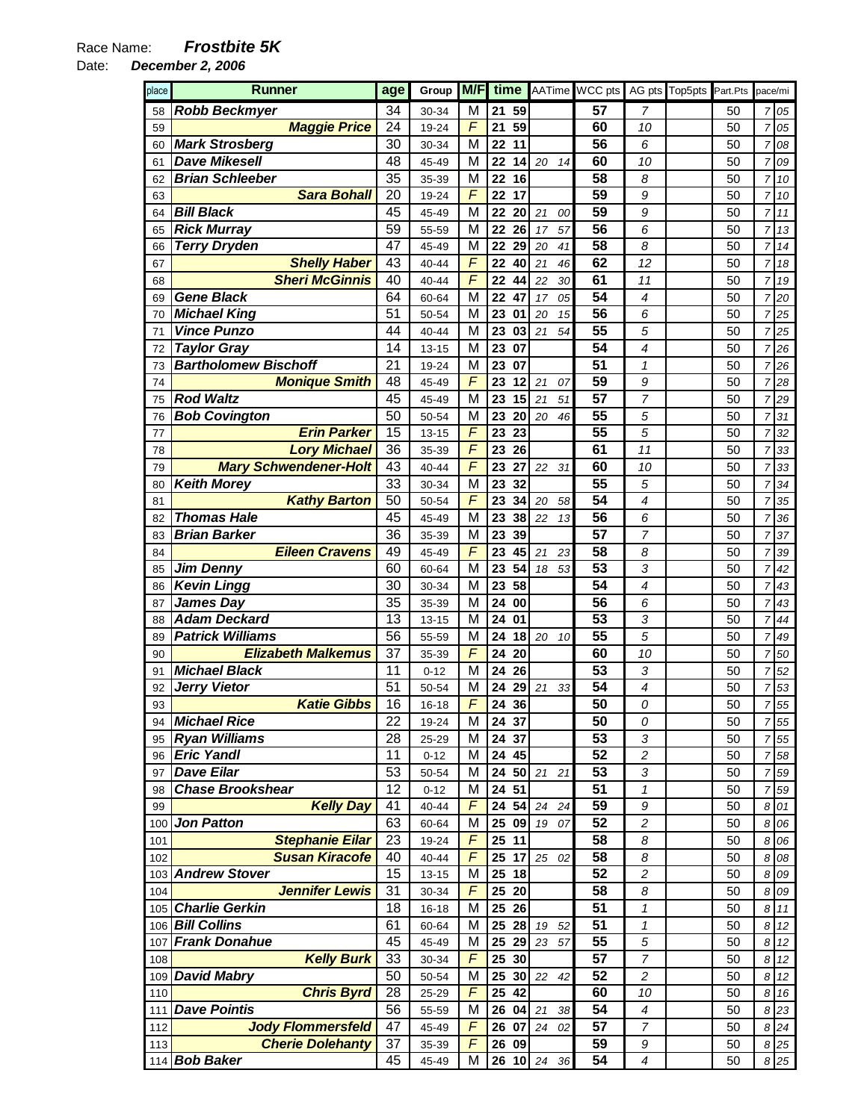Date: **December 2, 2006** 

| place | Runner                       | age | Group     | M/F        | time       |          | AATime WCC pts |                          | AG pts Top5pts | Part.Pts | pace/mi        |         |
|-------|------------------------------|-----|-----------|------------|------------|----------|----------------|--------------------------|----------------|----------|----------------|---------|
| 58    | <b>Robb Beckmyer</b>         | 34  | 30-34     | M          | 59<br>21   |          | 57             | 7                        |                | 50       | $\overline{7}$ | 05      |
| 59    | <b>Maggie Price</b>          | 24  | 19-24     | F          | 21<br>59   |          | 60             | 10                       |                | 50       | $\overline{7}$ | 05      |
| 60    | <b>Mark Strosberg</b>        | 30  | 30-34     | M          | 11<br>22   |          | 56             | 6                        |                | 50       | $\overline{7}$ | 08      |
| 61    | <b>Dave Mikesell</b>         | 48  | 45-49     | M          | 22<br>14   | 20<br>14 | 60             | 10                       |                | 50       | $\overline{7}$ | 09      |
| 62    | <b>Brian Schleeber</b>       | 35  | 35-39     | M          | 16<br>22   |          | 58             | 8                        |                | 50       | $\overline{7}$ | 10      |
| 63    | <b>Sara Bohall</b>           | 20  | 19-24     | $\sqrt{2}$ | 22<br>17   |          | 59             | 9                        |                | 50       | $\overline{7}$ | 10      |
| 64    | <b>Bill Black</b>            | 45  | 45-49     | M          | 22<br>20   | 21<br>00 | 59             | 9                        |                | 50       | $\overline{7}$ | 11      |
| 65    | <b>Rick Murray</b>           | 59  | 55-59     | M          | 22<br>26   | 57<br>17 | 56             | 6                        |                | 50       | $\overline{7}$ | 13      |
| 66    | <b>Terry Dryden</b>          | 47  | 45-49     | M          | 22<br>29   | 20<br>41 | 58             | 8                        |                | 50       | $\overline{7}$ | 14      |
| 67    | <b>Shelly Haber</b>          | 43  | 40-44     | $\sqrt{2}$ | 22<br>40   | 21<br>46 | 62             | 12                       |                | 50       | $\overline{7}$ | 18      |
| 68    | <b>Sheri McGinnis</b>        | 40  | 40-44     | F          | 22<br>44   | 22<br>30 | 61             | 11                       |                | 50       | $\overline{7}$ | 19      |
| 69    | <b>Gene Black</b>            | 64  | 60-64     | M          | 22<br>47   | 17<br>05 | 54             | $\overline{\mathcal{A}}$ |                | 50       | $\overline{7}$ | 20      |
| 70    | <b>Michael King</b>          | 51  | 50-54     | M          | 23<br>01   | 20<br>15 | 56             | 6                        |                | 50       | $\overline{7}$ | 25      |
| 71    | <b>Vince Punzo</b>           | 44  | 40-44     | M          | 23<br>03   | 54<br>21 | 55             | 5                        |                | 50       | $\overline{7}$ | 25      |
| 72    | <b>Taylor Gray</b>           | 14  | $13 - 15$ | M          | 23<br>07   |          | 54             | 4                        |                | 50       | $\overline{7}$ | 26      |
| 73    | <b>Bartholomew Bischoff</b>  | 21  | 19-24     | M          | 23<br>07   |          | 51             | $\mathbf{1}$             |                | 50       | $\overline{7}$ | 26      |
| 74    | <b>Monique Smith</b>         | 48  | 45-49     | F          | 23<br>12   | 21<br>07 | 59             | 9                        |                | 50       | $\overline{7}$ | 28      |
| 75    | <b>Rod Waltz</b>             | 45  | 45-49     | M          | 15<br>23   | 21<br>51 | 57             | 7                        |                | 50       | $\overline{7}$ | 29      |
| 76    | <b>Bob Covington</b>         | 50  | 50-54     | M          | 23<br>20   | 20<br>46 | 55             | 5                        |                | 50       | $\overline{7}$ | 31      |
| 77    | <b>Erin Parker</b>           | 15  | $13 - 15$ | $\sqrt{2}$ | 23<br>23   |          | 55             | 5                        |                | 50       | $\overline{7}$ | 32      |
| 78    | <b>Lory Michael</b>          | 36  | 35-39     | F          | 26<br>23   |          | 61             | 11                       |                | 50       | $\overline{7}$ | 33      |
| 79    | <b>Mary Schwendener-Holt</b> | 43  | 40-44     | F          | 23<br>27   | 22<br>31 | 60             | 10                       |                | 50       | $\overline{7}$ | 33      |
| 80    | <b>Keith Morey</b>           | 33  | 30-34     | M          | 23<br>32   |          | 55             | 5                        |                | 50       | $\overline{7}$ | 34      |
| 81    | <b>Kathy Barton</b>          | 50  | 50-54     | F          | 23<br>34   | 20<br>58 | 54             | $\overline{\mathcal{A}}$ |                | 50       | $\overline{7}$ | 35      |
| 82    | <b>Thomas Hale</b>           | 45  | 45-49     | M          | 23<br>38   | 22<br>13 | 56             | 6                        |                | 50       | $\overline{7}$ | 36      |
| 83    | <b>Brian Barker</b>          | 36  | 35-39     | M          | 23<br>39   |          | 57             | 7                        |                | 50       | $\overline{7}$ | 37      |
| 84    | <b>Eileen Cravens</b>        | 49  | 45-49     | F          | 23<br>45   | 21<br>23 | 58             | 8                        |                | 50       | $\overline{7}$ | 39      |
| 85    | <b>Jim Denny</b>             | 60  | 60-64     | M          | 23<br>54   | 53<br>18 | 53             | 3                        |                | 50       | $\overline{7}$ | 42      |
| 86    | <b>Kevin Lingg</b>           | 30  | 30-34     | M          | 23<br>58   |          | 54             | $\overline{\mathcal{A}}$ |                | 50       | $\overline{7}$ | 43      |
| 87    | <b>James Day</b>             | 35  | 35-39     | M          | 24<br>00   |          | 56             | 6                        |                | 50       | $\overline{7}$ | 43      |
| 88    | <b>Adam Deckard</b>          | 13  | $13 - 15$ | M          | 24<br>01   |          | 53             | 3                        |                | 50       | $\overline{7}$ | 44      |
| 89    | <b>Patrick Williams</b>      | 56  | 55-59     | M          | 24<br>18   | 20<br>10 | 55             | 5                        |                | 50       | $\overline{7}$ | 49      |
| 90    | <b>Elizabeth Malkemus</b>    | 37  | 35-39     | F          | 24<br>20   |          | 60             | 10                       |                | 50       | $\overline{7}$ | 50      |
| 91    | <b>Michael Black</b>         | 11  | $0 - 12$  | M          | 24<br>26   |          | 53             | 3                        |                | 50       | $\overline{7}$ | 52      |
| 92    | <b>Jerry Vietor</b>          | 51  | 50-54     | M          | 29<br>24   | 21<br>33 | 54             | $\overline{\mathcal{A}}$ |                | 50       | $\overline{7}$ | 53      |
| 93    | <b>Katie Gibbs</b>           | 16  | $16 - 18$ | F          | 24<br>36   |          | 50             | 0                        |                | 50       | $\overline{7}$ | 55      |
| 94    | <b>Michael Rice</b>          | 22  | 19-24     | м          | 24 37      |          | 50             | 0                        |                | 50       |                | 7 5 5   |
| 95    | <b>Ryan Williams</b>         | 28  | 25-29     | M          | 24 37      |          | 53             | 3                        |                | 50       |                | $7\,55$ |
| 96    | <b>Eric Yandl</b>            | 11  | $0 - 12$  | M          | 24 45      |          | 52             | 2                        |                | 50       |                | 7 58    |
| 97    | <b>Dave Eilar</b>            | 53  | 50-54     | М          | 24<br>50   | 21<br>21 | 53             | 3                        |                | 50       | $\overline{7}$ | 59      |
| 98    | <b>Chase Brookshear</b>      | 12  | $0 - 12$  | М          | 51<br>24   |          | 51             | $\mathcal I$             |                | 50       | $\overline{7}$ | 59      |
| 99    | <b>Kelly Day</b>             | 41  | 40-44     | F          | 24<br>54   | 24<br>24 | 59             | 9                        |                | 50       |                | 8 01    |
| 100   | <b>Jon Patton</b>            | 63  | 60-64     | M          | 25<br>09   | 19<br>07 | 52             | $\overline{\mathbf{c}}$  |                | 50       |                | 8 0 6   |
| 101   | <b>Stephanie Eilar</b>       | 23  | 19-24     | F          | 25<br>11   |          | 58             | 8                        |                | 50       |                | 8 0 6   |
| 102   | <b>Susan Kiracofe</b>        | 40  | 40-44     | F          | 25<br>17   | 25<br>02 | 58             | 8                        |                | 50       |                | 8 0 8   |
| 103   | <b>Andrew Stover</b>         | 15  | $13 - 15$ | М          | 25<br>18   |          | 52             | $\overline{\mathbf{c}}$  |                | 50       |                | 8 0 9   |
| 104   | <b>Jennifer Lewis</b>        | 31  | 30-34     | F          | 25 20      |          | 58             | 8                        |                | 50       |                | 8 0 9   |
|       | 105 Charlie Gerkin           | 18  | $16 - 18$ | М          | 25 26      |          | 51             | $\mathcal I$             |                | 50       |                | 8 11    |
|       | 106 Bill Collins             | 61  | 60-64     | M          | 25 28      | 19<br>52 | 51             | $\mathcal I$             |                | 50       |                | 8 12    |
| 107   | <b>Frank Donahue</b>         | 45  | 45-49     | M          | 25<br>29   | 23<br>57 | 55             | 5                        |                | 50       |                | 8 12    |
| 108   | <b>Kelly Burk</b>            | 33  | 30-34     | F          | 25<br>30   |          | 57             | 7                        |                | 50       |                | 8 12    |
| 109   | <b>David Mabry</b>           | 50  | 50-54     | M          | 25<br>30   | 22<br>42 | 52             | $\overline{c}$           |                | 50       |                | 8 12    |
| 110   | <b>Chris Byrd</b>            | 28  | 25-29     | F          | 25<br>42   |          | 60             | 10                       |                | 50       |                | 8 16    |
| 111   | <b>Dave Pointis</b>          | 56  | 55-59     | М          | 26<br>04   | 21<br>38 | 54             | $\boldsymbol{4}$         |                | 50       |                | 8 23    |
| 112   | <b>Jody Flommersfeld</b>     | 47  | 45-49     | F          | 26 07      | 24<br>02 | 57             | 7                        |                | 50       |                | 8 24    |
| 113   | <b>Cherie Dolehanty</b>      | 37  | 35-39     | F          | 26 09      |          | 59             | 9                        |                | 50       |                | 8 25    |
|       | 114 Bob Baker                | 45  | 45-49     | M          | 26 10 $24$ | 36       | 54             | $\boldsymbol{4}$         |                | 50       |                | 8 25    |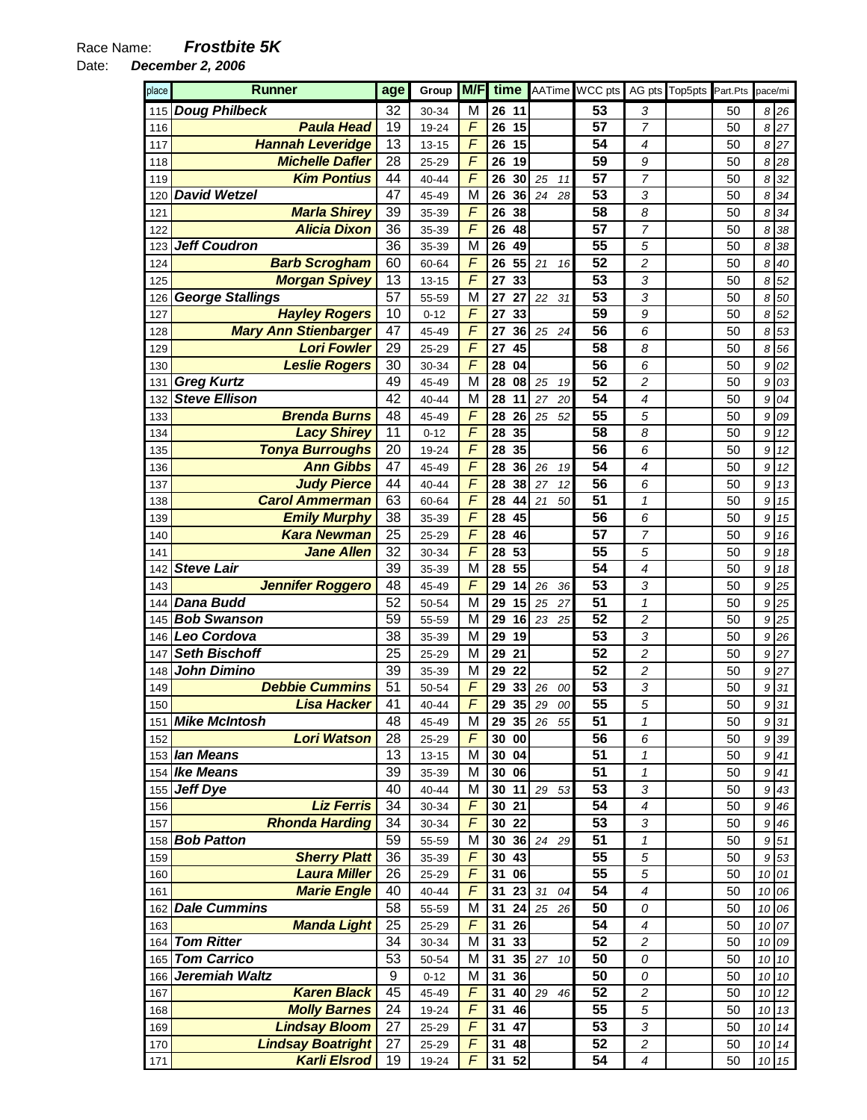Date: **December 2, 2006** 

| place | Runner                      | age             | Group     | M/F            | time                  |          | AATime WCC pts |                         | AG pts Top5pts | Part.Pts | pace/mi |        |
|-------|-----------------------------|-----------------|-----------|----------------|-----------------------|----------|----------------|-------------------------|----------------|----------|---------|--------|
| 115   | <b>Doug Philbeck</b>        | 32              | 30-34     | M              | 26<br>11              |          | 53             | 3                       |                | 50       |         | 8 26   |
| 116   | <b>Paula Head</b>           | 19              | 19-24     | F              | 26<br>15              |          | 57             | 7                       |                | 50       | 8       | 27     |
| 117   | <b>Hannah Leveridge</b>     | 13              | $13 - 15$ | F              | 15<br>26              |          | 54             | 4                       |                | 50       | 8       | 27     |
| 118   | <b>Michelle Dafler</b>      | 28              | 25-29     | F              | 19<br>26              |          | 59             | 9                       |                | 50       | 8       | 28     |
| 119   | <b>Kim Pontius</b>          | 44              | 40-44     | F              | 26<br>30              | 25<br>11 | 57             | 7                       |                | 50       | 8       | 32     |
| 120   | <b>David Wetzel</b>         | 47              | 45-49     | M              | 36<br>26              | 24<br>28 | 53             | 3                       |                | 50       | 8       | 34     |
| 121   | <b>Marla Shirey</b>         | 39              | 35-39     | F              | 38<br>26              |          | 58             | 8                       |                | 50       | 8       | 34     |
| 122   | <b>Alicia Dixon</b>         | 36              | 35-39     | F              | 26<br>48              |          | 57             | 7                       |                | 50       | 8       | 38     |
| 123   | <b>Jeff Coudron</b>         | 36              | 35-39     | M              | 49<br>26              |          | 55             | 5                       |                | 50       | 8       | 38     |
| 124   | <b>Barb Scrogham</b>        | 60              | 60-64     | F              | 55<br>26              | 21<br>16 | 52             | $\overline{c}$          |                | 50       | 8       | 40     |
| 125   | <b>Morgan Spivey</b>        | 13              | $13 - 15$ | F              | 27<br>33              |          | 53             | 3                       |                | 50       | 8       | 52     |
| 126   | <b>George Stallings</b>     | $\overline{57}$ | 55-59     | M              | 27<br>27              | 22<br>31 | 53             | 3                       |                | 50       | 8       | 50     |
| 127   | <b>Hayley Rogers</b>        | 10              | $0 - 12$  | F              | 33<br>27              |          | 59             | 9                       |                | 50       | 8       | 52     |
| 128   | <b>Mary Ann Stienbarger</b> | 47              | 45-49     | F              | 27<br>36              | 25<br>24 | 56             | 6                       |                | 50       | 8       | 53     |
| 129   | <b>Lori Fowler</b>          | 29              | 25-29     | F              | 45<br>27              |          | 58             | 8                       |                | 50       | 8       | 56     |
| 130   | <b>Leslie Rogers</b>        | 30              | 30-34     | $\overline{F}$ | 28<br>04              |          | 56             | 6                       |                | 50       | 9       | 02     |
| 131   | <b>Greg Kurtz</b>           | 49              | 45-49     | M              | 28<br>08              | 25<br>19 | 52             | $\overline{c}$          |                | 50       | 9       | 03     |
| 132   | <b>Steve Ellison</b>        | 42              | 40-44     | M              | 28<br>11              | 27<br>20 | 54             | 4                       |                | 50       | 9       | 04     |
| 133   | <b>Brenda Burns</b>         | 48              | 45-49     | F              | 28<br>26              | 25<br>52 | 55             | 5                       |                | 50       | 9       | 09     |
| 134   | <b>Lacy Shirey</b>          | 11              | $0 - 12$  | F              | 35<br>28              |          | 58             | 8                       |                | 50       | 9       | 12     |
| 135   | <b>Tonya Burroughs</b>      | 20              | 19-24     | $\overline{F}$ | 35<br>28              |          | 56             | 6                       |                | 50       | 9       | 12     |
| 136   | <b>Ann Gibbs</b>            | 47              | 45-49     | F              | 36<br>28              | 26<br>19 | 54             | 4                       |                | 50       | 9       | 12     |
| 137   | <b>Judy Pierce</b>          | 44              | 40-44     | F              | 38<br>28              | 27<br>12 | 56             | 6                       |                | 50       | 9       | 13     |
| 138   | <b>Carol Ammerman</b>       | 63              | 60-64     | F              | 28<br>44              | 21<br>50 | 51             | $\pmb{\mathcal{1}}$     |                | 50       | 9       | 15     |
| 139   | <b>Emily Murphy</b>         | 38              | 35-39     | F              | 45<br>28              |          | 56             | 6                       |                | 50       | 9       | 15     |
| 140   | <b>Kara Newman</b>          | 25              | 25-29     | F              | 46<br>28              |          | 57             | 7                       |                | 50       | 9       | 16     |
| 141   | <b>Jane Allen</b>           | 32              | 30-34     | $\overline{F}$ | 53<br>28              |          | 55             | 5                       |                | 50       | 9       | 18     |
| 142   | <b>Steve Lair</b>           | 39              | 35-39     | M              | 55<br>28              |          | 54             | 4                       |                | 50       | 9       | 18     |
| 143   | <b>Jennifer Roggero</b>     | 48              | 45-49     | F              | 29<br>14              | 26<br>36 | 53             | 3                       |                | 50       | 9       | 25     |
| 144   | <b>Dana Budd</b>            | 52              | 50-54     | M              | 29<br>15              | 25<br>27 | 51             | $\pmb{\mathcal{1}}$     |                | 50       | 9       | 25     |
| 145   | <b>Bob Swanson</b>          | 59              | 55-59     | M              | 16<br>29              | 23<br>25 | 52             | 2                       |                | 50       | 9       | 25     |
| 146   | Leo Cordova                 | 38              | 35-39     | M              | 29<br>19              |          | 53             | 3                       |                | 50       | 9       | 26     |
| 147   | <b>Seth Bischoff</b>        | 25              | 25-29     | M              | 29<br>21              |          | 52             | $\overline{c}$          |                | 50       | 9       | 27     |
| 148   | <b>John Dimino</b>          | 39              | 35-39     | M              | 29<br>22              |          | 52             | $\overline{c}$          |                | 50       | 9       | 27     |
| 149   | <b>Debbie Cummins</b>       | 51              | 50-54     | F              | 29<br>33              | 26<br>00 | 53             | 3                       |                | 50       | 9       | 31     |
| 150   | <b>Lisa Hacker</b>          | 41              | 40-44     | F              | 35<br>29              | 29<br>00 | 55             | 5                       |                | 50       | 9       | 31     |
| 151   | <b>Mike McIntosh</b>        | 48              | 45-49     | M              | 29 35                 | 26 55    | 51             | 1                       |                | 50       |         | 9 31   |
| 152   | <b>Lori Watson</b>          | 28              | 25-29     | F              | 30<br>00              |          | 56             | 6                       |                | 50       | 9       | 39     |
|       | 153 lan Means               | 13              | $13 - 15$ | M              | 30 04                 |          | 51             | 1                       |                | 50       | 9       | 41     |
| 154   | <b>Ike Means</b>            | 39              | 35-39     | M              | 30 06                 |          | 51             | 1                       |                | 50       | 9       | 41     |
| 155   | <b>Jeff Dye</b>             | 40              | 40-44     | M              | 30<br>11              | 29<br>53 | 53             | 3                       |                | 50       | 9       | 43     |
| 156   | <b>Liz Ferris</b>           | 34              | 30-34     | F              | 30 <sub>o</sub><br>21 |          | 54             | 4                       |                | 50       | 9       | 46     |
| 157   | <b>Rhonda Harding</b>       | 34              | 30-34     | F              | 30<br>22              |          | 53             | 3                       |                | 50       | 9       | 46     |
| 158   | <b>Bob Patton</b>           | 59              | 55-59     | M              | 30<br>36              | 24<br>29 | 51             | 1                       |                | 50       | 9       | 51     |
| 159   | <b>Sherry Platt</b>         | 36              | 35-39     | F              | 30<br>43              |          | 55             | 5                       |                | 50       | 9       | 53     |
| 160   | <b>Laura Miller</b>         | 26              | 25-29     | F              | 31<br>06              |          | 55             | 5                       |                | 50       | 10      | 01     |
| 161   | <b>Marie Engle</b>          | 40              | 40-44     | F              | 31<br>23              | 31<br>04 | 54             | 4                       |                | 50       | 10      | 06     |
| 162   | <b>Dale Cummins</b>         | 58              | 55-59     | M              | 31<br>24              | 25<br>26 | 50             | 0                       |                | 50       | 10      | 06     |
| 163   | <b>Manda Light</b>          | 25              | 25-29     | F              | 31<br>26              |          | 54             | 4                       |                | 50       | 10      | 07     |
| 164   | <b>Tom Ritter</b>           | 34              | 30-34     | M              | 31<br>33              |          | 52             | $\overline{\mathbf{c}}$ |                | 50       | 10      | 09     |
| 165   | <b>Tom Carrico</b>          | 53              | 50-54     | M              | 31<br>35              | 27<br>10 | 50             | 0                       |                | 50       | 10      | $10\,$ |
| 166   | Jeremiah Waltz              | 9               | $0 - 12$  | M              | 31<br>36              |          | 50             | 0                       |                | 50       | 10      | $10\,$ |
| 167   | <b>Karen Black</b>          | 45              | 45-49     | F              | 31<br>40              | 29<br>46 | 52             | 2                       |                | 50       | 10      | 12     |
| 168   | <b>Molly Barnes</b>         | 24              | 19-24     | F              | 31<br>46              |          | 55             | 5                       |                | 50       | 10      | 13     |
| 169   | <b>Lindsay Bloom</b>        | 27              | 25-29     | F              | 31<br>47              |          | 53             | 3                       |                | 50       | 10      | 14     |
| 170   | <b>Lindsay Boatright</b>    | 27              | 25-29     | F              | 31<br>48              |          | 52             | $\overline{c}$          |                | 50       | 10      | 14     |
| 171   | <b>Karli Elsrod</b>         | 19              | 19-24     | $\sqrt{2}$     | 31<br>52              |          | 54             | $\boldsymbol{4}$        |                | 50       |         | 10 15  |